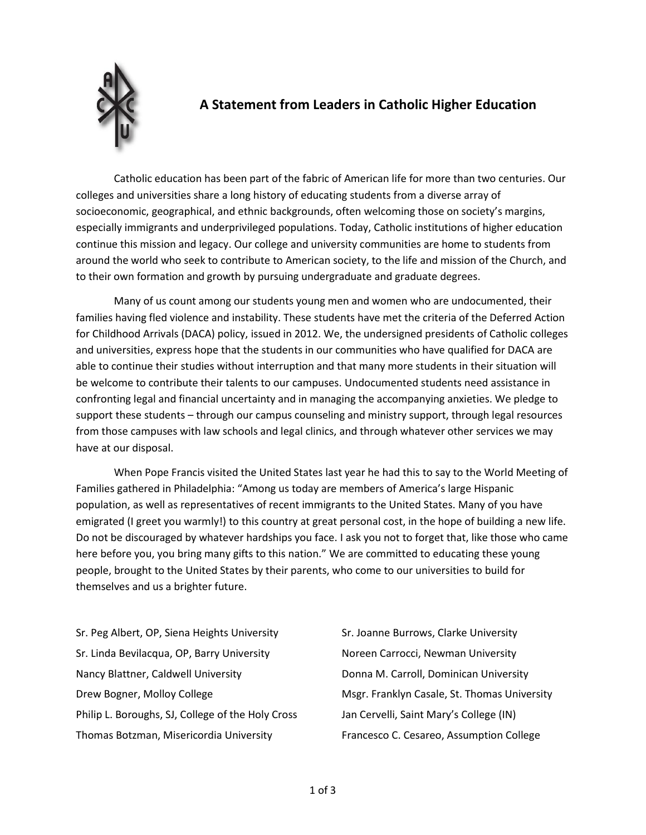

## **A Statement from Leaders in Catholic Higher Education**

Catholic education has been part of the fabric of American life for more than two centuries. Our colleges and universities share a long history of educating students from a diverse array of socioeconomic, geographical, and ethnic backgrounds, often welcoming those on society's margins, especially immigrants and underprivileged populations. Today, Catholic institutions of higher education continue this mission and legacy. Our college and university communities are home to students from around the world who seek to contribute to American society, to the life and mission of the Church, and to their own formation and growth by pursuing undergraduate and graduate degrees.

Many of us count among our students young men and women who are undocumented, their families having fled violence and instability. These students have met the criteria of the Deferred Action for Childhood Arrivals (DACA) policy, issued in 2012. We, the undersigned presidents of Catholic colleges and universities, express hope that the students in our communities who have qualified for DACA are able to continue their studies without interruption and that many more students in their situation will be welcome to contribute their talents to our campuses. Undocumented students need assistance in confronting legal and financial uncertainty and in managing the accompanying anxieties. We pledge to support these students – through our campus counseling and ministry support, through legal resources from those campuses with law schools and legal clinics, and through whatever other services we may have at our disposal.

When Pope Francis visited the United States last year he had this to say to the World Meeting of Families gathered in Philadelphia: "Among us today are members of America's large Hispanic population, as well as representatives of recent immigrants to the United States. Many of you have emigrated (I greet you warmly!) to this country at great personal cost, in the hope of building a new life. Do not be discouraged by whatever hardships you face. I ask you not to forget that, like those who came here before you, you bring many gifts to this nation." We are committed to educating these young people, brought to the United States by their parents, who come to our universities to build for themselves and us a brighter future.

Sr. Peg Albert, OP, Siena Heights University Sr. Linda Bevilacqua, OP, Barry University Nancy Blattner, Caldwell University Drew Bogner, Molloy College Philip L. Boroughs, SJ, College of the Holy Cross Thomas Botzman, Misericordia University

Sr. Joanne Burrows, Clarke University Noreen Carrocci, Newman University Donna M. Carroll, Dominican University Msgr. Franklyn Casale, St. Thomas University Jan Cervelli, Saint Mary's College (IN) Francesco C. Cesareo, Assumption College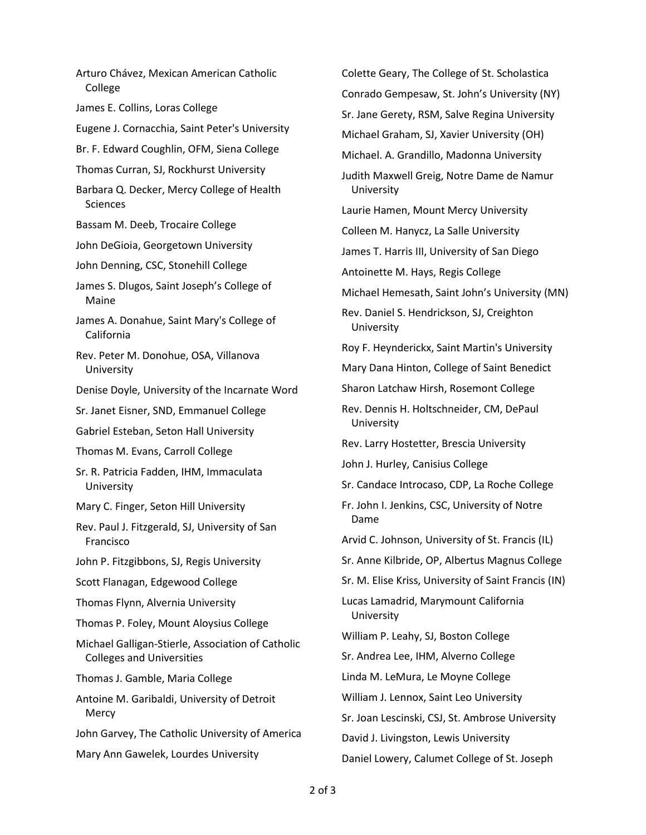Arturo Chávez, Mexican American Catholic College James E. Collins, Loras College Eugene J. Cornacchia, Saint Peter's University Br. F. Edward Coughlin, OFM, Siena College Thomas Curran, SJ, Rockhurst University Barbara Q. Decker, Mercy College of Health Sciences Bassam M. Deeb, Trocaire College John DeGioia, Georgetown University John Denning, CSC, Stonehill College James S. Dlugos, Saint Joseph's College of Maine James A. Donahue, Saint Mary's College of California Rev. Peter M. Donohue, OSA, Villanova University Denise Doyle, University of the Incarnate Word Sr. Janet Eisner, SND, Emmanuel College Gabriel Esteban, Seton Hall University Thomas M. Evans, Carroll College Sr. R. Patricia Fadden, IHM, Immaculata **University** Mary C. Finger, Seton Hill University Rev. Paul J. Fitzgerald, SJ, University of San Francisco John P. Fitzgibbons, SJ, Regis University Scott Flanagan, Edgewood College Thomas Flynn, Alvernia University Thomas P. Foley, Mount Aloysius College Michael Galligan-Stierle, Association of Catholic Colleges and Universities Thomas J. Gamble, Maria College Antoine M. Garibaldi, University of Detroit **Mercy** John Garvey, The Catholic University of America Mary Ann Gawelek, Lourdes University

Colette Geary, The College of St. Scholastica Conrado Gempesaw, St. John's University (NY) Sr. Jane Gerety, RSM, Salve Regina University Michael Graham, SJ, Xavier University (OH) Michael. A. Grandillo, Madonna University Judith Maxwell Greig, Notre Dame de Namur University Laurie Hamen, Mount Mercy University Colleen M. Hanycz, La Salle University James T. Harris III, University of San Diego Antoinette M. Hays, Regis College Michael Hemesath, Saint John's University (MN) Rev. Daniel S. Hendrickson, SJ, Creighton University Roy F. Heynderickx, Saint Martin's University Mary Dana Hinton, College of Saint Benedict Sharon Latchaw Hirsh, Rosemont College Rev. Dennis H. Holtschneider, CM, DePaul University Rev. Larry Hostetter, Brescia University John J. Hurley, Canisius College Sr. Candace Introcaso, CDP, La Roche College Fr. John I. Jenkins, CSC, University of Notre Dame Arvid C. Johnson, University of St. Francis (IL) Sr. Anne Kilbride, OP, Albertus Magnus College Sr. M. Elise Kriss, University of Saint Francis (IN) Lucas Lamadrid, Marymount California University William P. Leahy, SJ, Boston College Sr. Andrea Lee, IHM, Alverno College Linda M. LeMura, Le Moyne College William J. Lennox, Saint Leo University Sr. Joan Lescinski, CSJ, St. Ambrose University David J. Livingston, Lewis University Daniel Lowery, Calumet College of St. Joseph